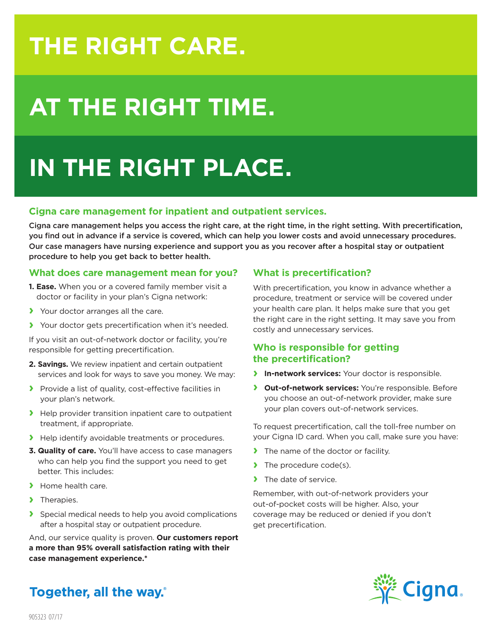## **THE RIGHT CARE.**

# **AT THE RIGHT TIME.**

## **IN THE RIGHT PLACE.**

### **Cigna care management for inpatient and outpatient services.**

Cigna care management helps you access the right care, at the right time, in the right setting. With precertification, you find out in advance if a service is covered, which can help you lower costs and avoid unnecessary procedures. Our case managers have nursing experience and support you as you recover after a hospital stay or outpatient procedure to help you get back to better health.

### **What does care management mean for you?**

- **1. Ease.** When you or a covered family member visit a doctor or facility in your plan's Cigna network:
- **›** Your doctor arranges all the care.
- **›** Your doctor gets precertification when it's needed.

If you visit an out-of-network doctor or facility, you're responsible for getting precertification.

- **2. Savings.** We review inpatient and certain outpatient services and look for ways to save you money. We may:
- **›** Provide a list of quality, cost-effective facilities in your plan's network.
- **›** Help provider transition inpatient care to outpatient treatment, if appropriate.
- **›** Help identify avoidable treatments or procedures.
- **3. Quality of care.** You'll have access to case managers who can help you find the support you need to get better. This includes:
- **›** Home health care.
- **›** Therapies.
- **›** Special medical needs to help you avoid complications after a hospital stay or outpatient procedure.

And, our service quality is proven. **Our customers report a more than 95% overall satisfaction rating with their case management experience.\***

### **What is precertification?**

With precertification, you know in advance whether a procedure, treatment or service will be covered under your health care plan. It helps make sure that you get the right care in the right setting. It may save you from costly and unnecessary services.

### **Who is responsible for getting the precertification?**

- **› In-network services:** Your doctor is responsible.
- **› Out-of-network services:** You're responsible. Before you choose an out-of-network provider, make sure your plan covers out-of-network services.

To request precertification, call the toll-free number on your Cigna ID card. When you call, make sure you have:

- **›** The name of the doctor or facility.
- **›** The procedure code(s).
- **›** The date of service.

Remember, with out-of-network providers your out-of-pocket costs will be higher. Also, your coverage may be reduced or denied if you don't get precertification.



**Together, all the way.**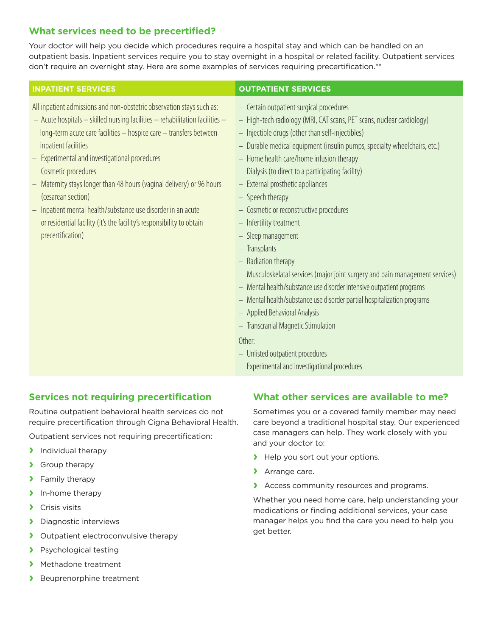### **What services need to be precertified?**

Your doctor will help you decide which procedures require a hospital stay and which can be handled on an outpatient basis. Inpatient services require you to stay overnight in a hospital or related facility. Outpatient services don't require an overnight stay. Here are some examples of services requiring precertification.\*\*

All inpatient admissions and non-obstetric observation stays such as:

- Acute hospitals skilled nursing facilities rehabilitation facilities long-term acute care facilities – hospice care – transfers between inpatient facilities
- Experimental and investigational procedures
- Cosmetic procedures
- Maternity stays longer than 48 hours (vaginal delivery) or 96 hours (cesarean section)
- Inpatient mental health/substance use disorder in an acute or residential facility (it's the facility's responsibility to obtain precertification)

### **INPATIENT SERVICES OUTPATIENT SERVICES**

- Certain outpatient surgical procedures
- High-tech radiology (MRI, CAT scans, PET scans, nuclear cardiology)
- Injectible drugs (other than self-injectibles)
- Durable medical equipment (insulin pumps, specialty wheelchairs, etc.)
- Home health care/home infusion therapy
- Dialysis (to direct to a participating facility)
- External prosthetic appliances
- Speech therapy
- Cosmetic or reconstructive procedures
- Infertility treatment
- Sleep management
- Transplants
- Radiation therapy
- Musculoskelatal services (major joint surgery and pain management services)
- Mental health/substance use disorder intensive outpatient programs
- Mental health/substance use disorder partial hospitalization programs
- Applied Behavioral Analysis
- Transcranial Magnetic Stimulation

### Other:

- Unlisted outpatient procedures
- Experimental and investigational procedures

### **Services not requiring precertification**

Routine outpatient behavioral health services do not require precertification through Cigna Behavioral Health.

Outpatient services not requiring precertification:

- **›** Individual therapy
- **›** Group therapy
- **›** Family therapy
- **›** In-home therapy
- **›** Crisis visits
- **›** Diagnostic interviews
- **›** Outpatient electroconvulsive therapy
- **›** Psychological testing
- **›** Methadone treatment
- **›** Beuprenorphine treatment

### **What other services are available to me?**

Sometimes you or a covered family member may need care beyond a traditional hospital stay. Our experienced case managers can help. They work closely with you and your doctor to:

- **›** Help you sort out your options.
- **›** Arrange care.
- **›** Access community resources and programs.

Whether you need home care, help understanding your medications or finding additional services, your case manager helps you find the care you need to help you get better.